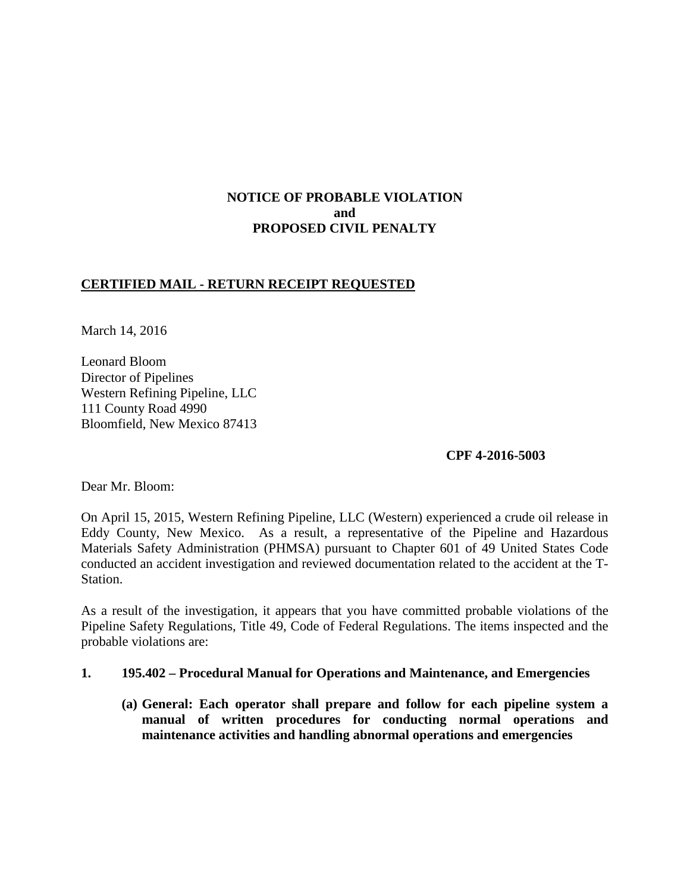# **NOTICE OF PROBABLE VIOLATION and PROPOSED CIVIL PENALTY**

## **CERTIFIED MAIL - RETURN RECEIPT REQUESTED**

March 14, 2016

Leonard Bloom Director of Pipelines Western Refining Pipeline, LLC 111 County Road 4990 Bloomfield, New Mexico 87413

### **CPF 4-2016-5003**

Dear Mr. Bloom:

On April 15, 2015, Western Refining Pipeline, LLC (Western) experienced a crude oil release in Eddy County, New Mexico. As a result, a representative of the Pipeline and Hazardous Materials Safety Administration (PHMSA) pursuant to Chapter 601 of 49 United States Code conducted an accident investigation and reviewed documentation related to the accident at the T-Station.

As a result of the investigation, it appears that you have committed probable violations of the Pipeline Safety Regulations, Title 49, Code of Federal Regulations. The items inspected and the probable violations are:

- **1. 195.402 Procedural Manual for Operations and Maintenance, and Emergencies**
	- **(a) General: Each operator shall prepare and follow for each pipeline system a manual of written procedures for conducting normal operations and maintenance activities and handling abnormal operations and emergencies**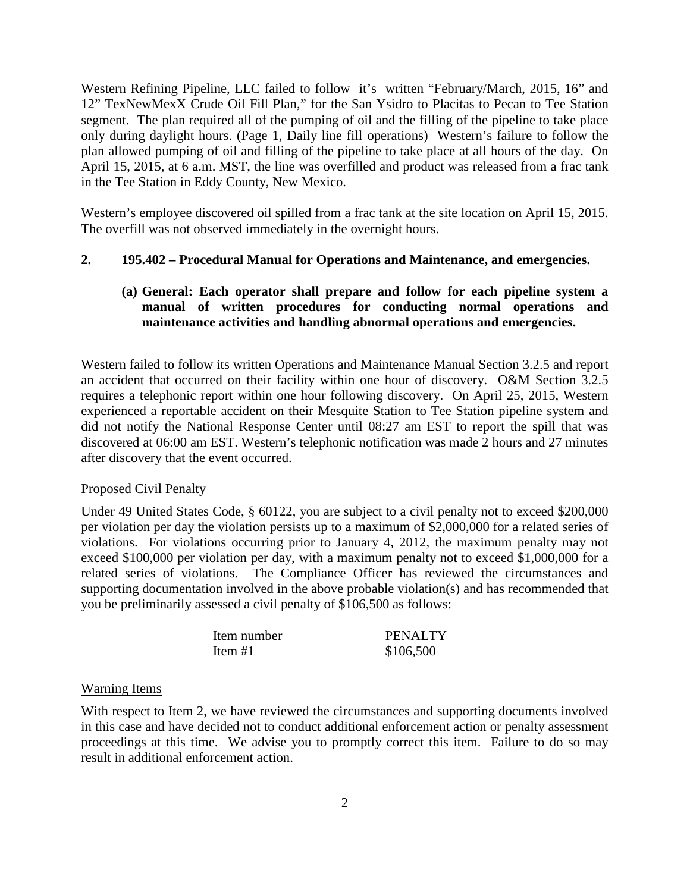Western Refining Pipeline, LLC failed to follow it's written "February/March, 2015, 16" and 12" TexNewMexX Crude Oil Fill Plan," for the San Ysidro to Placitas to Pecan to Tee Station segment. The plan required all of the pumping of oil and the filling of the pipeline to take place only during daylight hours. (Page 1, Daily line fill operations) Western's failure to follow the plan allowed pumping of oil and filling of the pipeline to take place at all hours of the day. On April 15, 2015, at 6 a.m. MST, the line was overfilled and product was released from a frac tank in the Tee Station in Eddy County, New Mexico.

Western's employee discovered oil spilled from a frac tank at the site location on April 15, 2015. The overfill was not observed immediately in the overnight hours.

### **2. 195.402 – Procedural Manual for Operations and Maintenance, and emergencies.**

## **(a) General: Each operator shall prepare and follow for each pipeline system a manual of written procedures for conducting normal operations and maintenance activities and handling abnormal operations and emergencies.**

Western failed to follow its written Operations and Maintenance Manual Section 3.2.5 and report an accident that occurred on their facility within one hour of discovery. O&M Section 3.2.5 requires a telephonic report within one hour following discovery. On April 25, 2015, Western experienced a reportable accident on their Mesquite Station to Tee Station pipeline system and did not notify the National Response Center until 08:27 am EST to report the spill that was discovered at 06:00 am EST. Western's telephonic notification was made 2 hours and 27 minutes after discovery that the event occurred.

#### Proposed Civil Penalty

Under 49 United States Code, § 60122, you are subject to a civil penalty not to exceed \$200,000 per violation per day the violation persists up to a maximum of \$2,000,000 for a related series of violations. For violations occurring prior to January 4, 2012, the maximum penalty may not exceed \$100,000 per violation per day, with a maximum penalty not to exceed \$1,000,000 for a related series of violations. The Compliance Officer has reviewed the circumstances and supporting documentation involved in the above probable violation(s) and has recommended that you be preliminarily assessed a civil penalty of \$106,500 as follows:

| Item number | <b>PENALTY</b> |
|-------------|----------------|
| Item $#1$   | \$106,500      |

#### Warning Items

With respect to Item 2, we have reviewed the circumstances and supporting documents involved in this case and have decided not to conduct additional enforcement action or penalty assessment proceedings at this time. We advise you to promptly correct this item. Failure to do so may result in additional enforcement action.